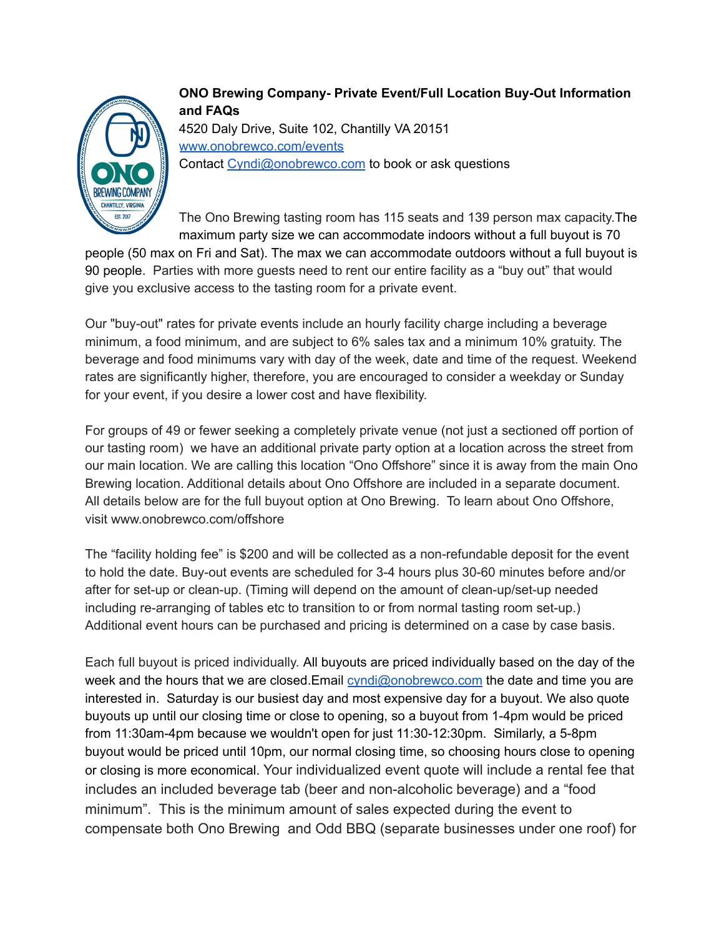

**ONO Brewing Company- Private Event/Full Location Buy-Out Information and FAQs** 4520 Daly Drive, Suite 102, Chantilly VA 20151 [www.onobrewco.com/events](http://www.onobrewco.com/events) Contact [Cyndi@onobrewco.com](mailto:Cyndi@onobrewco.com) to book or ask questions

The Ono Brewing tasting room has 115 seats and 139 person max capacity.The maximum party size we can accommodate indoors without a full buyout is 70

people (50 max on Fri and Sat). The max we can accommodate outdoors without a full buyout is 90 people. Parties with more guests need to rent our entire facility as a "buy out" that would give you exclusive access to the tasting room for a private event.

Our "buy-out" rates for private events include an hourly facility charge including a beverage minimum, a food minimum, and are subject to 6% sales tax and a minimum 10% gratuity. The beverage and food minimums vary with day of the week, date and time of the request. Weekend rates are significantly higher, therefore, you are encouraged to consider a weekday or Sunday for your event, if you desire a lower cost and have flexibility.

For groups of 49 or fewer seeking a completely private venue (not just a sectioned off portion of our tasting room) we have an additional private party option at a location across the street from our main location. We are calling this location "Ono Offshore" since it is away from the main Ono Brewing location. Additional details about Ono Offshore are included in a separate document. All details below are for the full buyout option at Ono Brewing. To learn about Ono Offshore, visit www.onobrewco.com/offshore

The "facility holding fee" is \$200 and will be collected as a non-refundable deposit for the event to hold the date. Buy-out events are scheduled for 3-4 hours plus 30-60 minutes before and/or after for set-up or clean-up. (Timing will depend on the amount of clean-up/set-up needed including re-arranging of tables etc to transition to or from normal tasting room set-up.) Additional event hours can be purchased and pricing is determined on a case by case basis.

Each full buyout is priced individually. All buyouts are priced individually based on the day of the week and the hours that we are closed.Email [cyndi@onobrewco.com](mailto:cyndi@onobrewco.com) the date and time you are interested in. Saturday is our busiest day and most expensive day for a buyout. We also quote buyouts up until our closing time or close to opening, so a buyout from 1-4pm would be priced from 11:30am-4pm because we wouldn't open for just 11:30-12:30pm. Similarly, a 5-8pm buyout would be priced until 10pm, our normal closing time, so choosing hours close to opening or closing is more economical. Your individualized event quote will include a rental fee that includes an included beverage tab (beer and non-alcoholic beverage) and a "food minimum". This is the minimum amount of sales expected during the event to compensate both Ono Brewing and Odd BBQ (separate businesses under one roof) for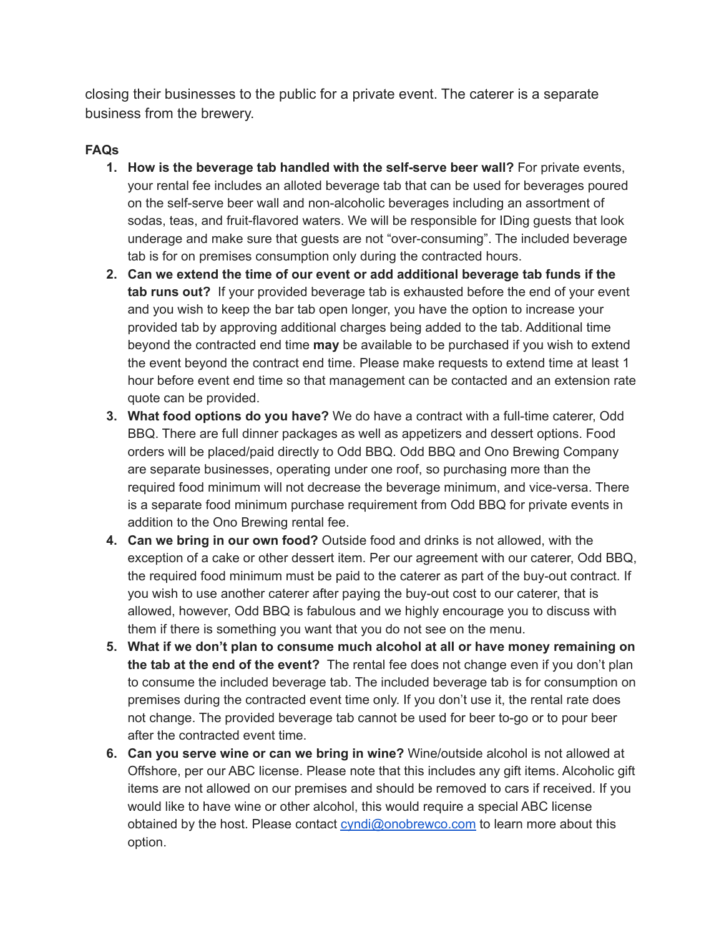closing their businesses to the public for a private event. The caterer is a separate business from the brewery.

## **FAQs**

- **1. How is the beverage tab handled with the self-serve beer wall?** For private events, your rental fee includes an alloted beverage tab that can be used for beverages poured on the self-serve beer wall and non-alcoholic beverages including an assortment of sodas, teas, and fruit-flavored waters. We will be responsible for IDing guests that look underage and make sure that guests are not "over-consuming". The included beverage tab is for on premises consumption only during the contracted hours.
- **2. Can we extend the time of our event or add additional beverage tab funds if the tab runs out?** If your provided beverage tab is exhausted before the end of your event and you wish to keep the bar tab open longer, you have the option to increase your provided tab by approving additional charges being added to the tab. Additional time beyond the contracted end time **may** be available to be purchased if you wish to extend the event beyond the contract end time. Please make requests to extend time at least 1 hour before event end time so that management can be contacted and an extension rate quote can be provided.
- **3. What food options do you have?** We do have a contract with a full-time caterer, Odd BBQ. There are full dinner packages as well as appetizers and dessert options. Food orders will be placed/paid directly to Odd BBQ. Odd BBQ and Ono Brewing Company are separate businesses, operating under one roof, so purchasing more than the required food minimum will not decrease the beverage minimum, and vice-versa. There is a separate food minimum purchase requirement from Odd BBQ for private events in addition to the Ono Brewing rental fee.
- **4. Can we bring in our own food?** Outside food and drinks is not allowed, with the exception of a cake or other dessert item. Per our agreement with our caterer, Odd BBQ, the required food minimum must be paid to the caterer as part of the buy-out contract. If you wish to use another caterer after paying the buy-out cost to our caterer, that is allowed, however, Odd BBQ is fabulous and we highly encourage you to discuss with them if there is something you want that you do not see on the menu.
- **5. What if we don't plan to consume much alcohol at all or have money remaining on the tab at the end of the event?** The rental fee does not change even if you don't plan to consume the included beverage tab. The included beverage tab is for consumption on premises during the contracted event time only. If you don't use it, the rental rate does not change. The provided beverage tab cannot be used for beer to-go or to pour beer after the contracted event time.
- **6. Can you serve wine or can we bring in wine?** Wine/outside alcohol is not allowed at Offshore, per our ABC license. Please note that this includes any gift items. Alcoholic gift items are not allowed on our premises and should be removed to cars if received. If you would like to have wine or other alcohol, this would require a special ABC license obtained by the host. Please contact [cyndi@onobrewco.com](mailto:cyndi@onobrewco.com) to learn more about this option.